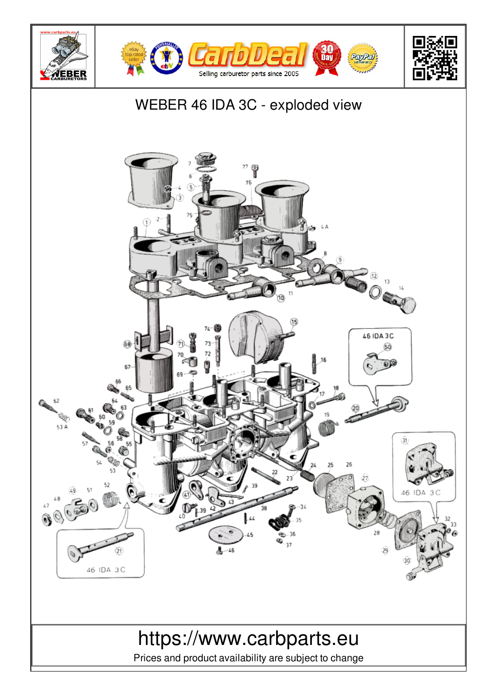